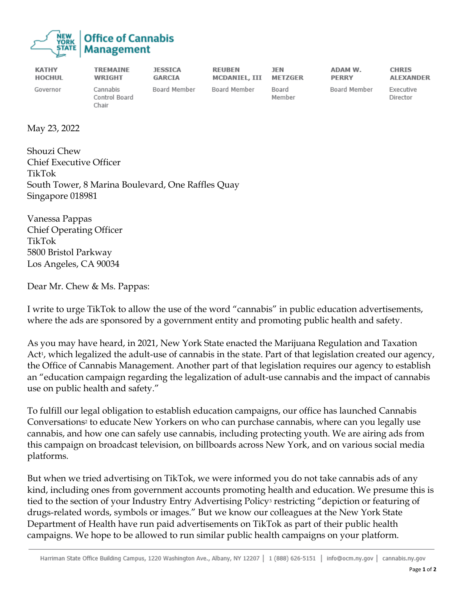

| <b>KATHY</b>  | <b>TREMAINE</b>                    | <b>JESSICA</b> | <b>REUBEN</b> | JEN             | ADAM W.      | <b>CHRIS</b>          |
|---------------|------------------------------------|----------------|---------------|-----------------|--------------|-----------------------|
| <b>HOCHUL</b> | <b>WRIGHT</b>                      | <b>GARCIA</b>  | MCDANIEL, III | METZGER         | <b>PERRY</b> | <b>ALEXANDER</b>      |
| Governor      | Cannabis<br>Control Board<br>Chair | Board Member   | Board Member  | Board<br>Member | Board Member | Executive<br>Director |

May 23, 2022

Shouzi Chew Chief Executive Officer TikTok South Tower, 8 Marina Boulevard, One Raffles Quay Singapore 018981

Vanessa Pappas Chief Operating Officer TikTok 5800 Bristol Parkway Los Angeles, CA 90034

Dear Mr. Chew & Ms. Pappas:

I write to urge TikTok to allow the use of the word "cannabis" in public education advertisements, where the ads are sponsored by a government entity and promoting public health and safety.

As you may have heard, in 2021, New York State enacted the Marijuana Regulation and Taxation Act<sup>1</sup>, which legalized the adult-use of cannabis in the state. Part of that legislation created our agency, the Office of Cannabis Management. Another part of that legislation requires our agency to establish an "education campaign regarding the legalization of adult-use cannabis and the impact of cannabis use on public health and safety."

To fulfill our legal obligation to establish education campaigns, our office has launched Cannabis Conversations<sup>2</sup> to educate New Yorkers on who can purchase cannabis, where can you legally use cannabis, and how one can safely use cannabis, including protecting youth. We are airing ads from this campaign on broadcast television, on billboards across New York, and on various social media platforms.

But when we tried advertising on TikTok, we were informed you do not take cannabis ads of any kind, including ones from government accounts promoting health and education. We presume this is tied to the section of your Industry Entry Advertising Policy<sup>3</sup> restricting "depiction or featuring of drugs-related words, symbols or images." But we know our colleagues at the New York State Department of Health have run paid advertisements on TikTok as part of their public health campaigns. We hope to be allowed to run similar public health campaigns on your platform.

Harriman State Office Building Campus, 1220 Washington Ave., Albany, NY 12207 | 1 (888) 626-5151 | info@ocm.ny.gov | cannabis.ny.gov